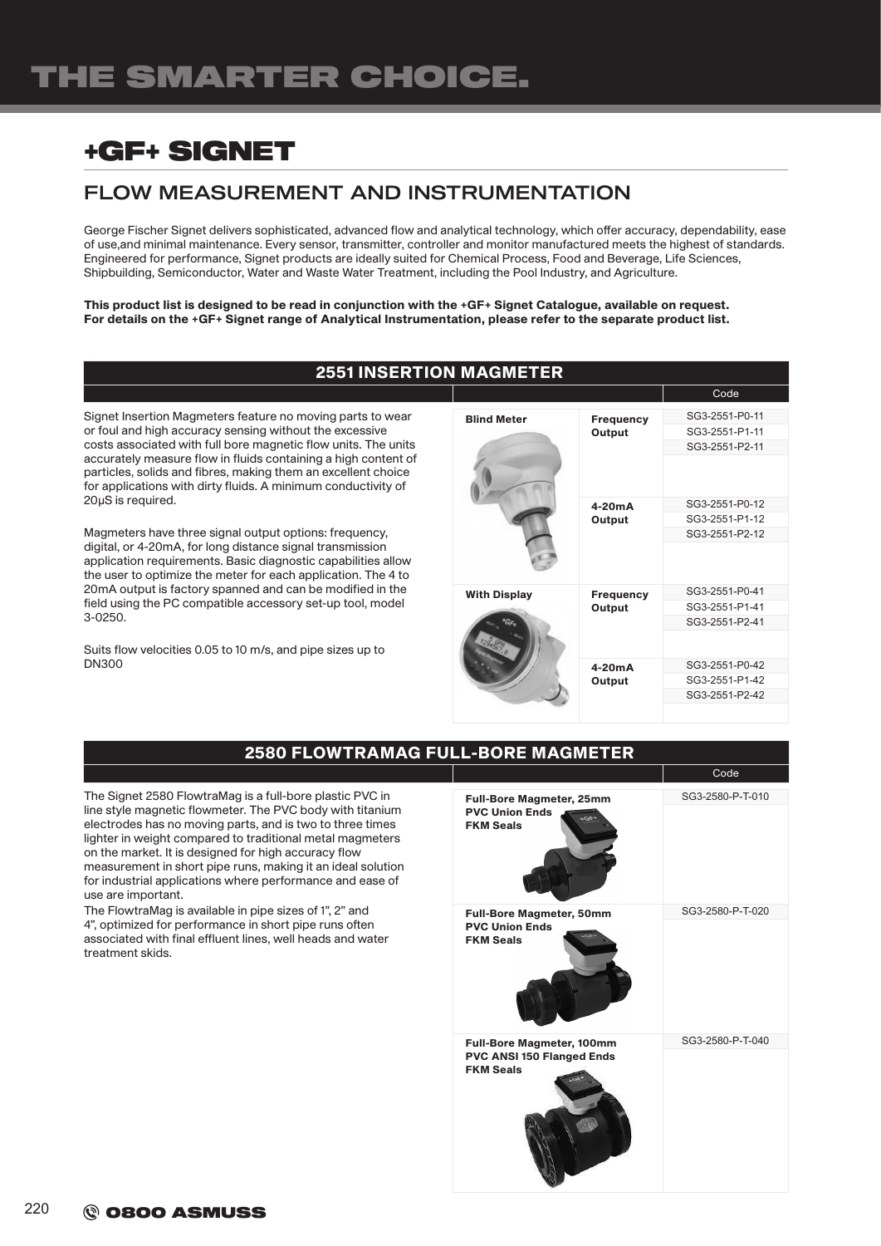# +GF+ SIGNET

## FLOW MEASUREMENT AND INSTRUMENTATION

George Fischer Signet delivers sophisticated, advanced flow and analytical technology, which offer accuracy, dependability, ease of use,and minimal maintenance. Every sensor, transmitter, controller and monitor manufactured meets the highest of standards. Engineered for performance, Signet products are ideally suited for Chemical Process, Food and Beverage, Life Sciences, Shipbuilding, Semiconductor, Water and Waste Water Treatment, including the Pool Industry, and Agriculture.

This product list is designed to be read in conjunction with the +GF+ Signet Catalogue, available on request. For details on the +GF+ Signet range of Analytical Instrumentation, please refer to the separate product list.

### 2551 INSERTION MAGMETER

Signet Insertion Magmeters feature no moving parts to wear or foul and high accuracy sensing without the excessive costs associated with full bore magnetic flow units. The units accurately measure flow in fluids containing a high content of particles, solids and fibres, making them an excellent choice for applications with dirty fluids. A minimum conductivity of 20μS is required.

Magmeters have three signal output options: frequency, digital, or 4-20mA, for long distance signal transmission application requirements. Basic diagnostic capabilities allow the user to optimize the meter for each application. The 4 to 20mA output is factory spanned and can be modified in the field using the PC compatible accessory set-up tool, model 3-0250.

Suits flow velocities 0.05 to 10 m/s, and pipe sizes up to DN300

|                              |                            | Code           |  |
|------------------------------|----------------------------|----------------|--|
| <b>Blind Meter</b><br>Output | <b>Frequency</b>           | SG3-2551-P0-11 |  |
|                              |                            | SG3-2551-P1-11 |  |
|                              |                            | SG3-2551-P2-11 |  |
|                              |                            |                |  |
|                              | $4-20mA$                   | SG3-2551-P0-12 |  |
|                              | Output                     | SG3-2551-P1-12 |  |
|                              |                            | SG3-2551-P2-12 |  |
|                              |                            |                |  |
| <b>With Display</b>          | <b>Frequency</b><br>Output | SG3-2551-P0-41 |  |
|                              |                            | SG3-2551-P1-41 |  |
|                              |                            | SG3-2551-P2-41 |  |
|                              |                            |                |  |
|                              | 4-20mA<br>Output           | SG3-2551-P0-42 |  |
|                              |                            | SG3-2551-P1-42 |  |
|                              |                            | SG3-2551-P2-42 |  |
|                              |                            |                |  |

| <b>2580 FLOWTRAMAG FULL-BORE MAGMETER</b>                                                                                                                                                                                                                                                                                                                                                                                                                 |                                                                                        |                  |  |
|-----------------------------------------------------------------------------------------------------------------------------------------------------------------------------------------------------------------------------------------------------------------------------------------------------------------------------------------------------------------------------------------------------------------------------------------------------------|----------------------------------------------------------------------------------------|------------------|--|
|                                                                                                                                                                                                                                                                                                                                                                                                                                                           |                                                                                        | Code             |  |
| The Signet 2580 FlowtraMag is a full-bore plastic PVC in<br>line style magnetic flowmeter. The PVC body with titanium<br>electrodes has no moving parts, and is two to three times<br>lighter in weight compared to traditional metal magmeters<br>on the market. It is designed for high accuracy flow<br>measurement in short pipe runs, making it an ideal solution<br>for industrial applications where performance and ease of<br>use are important. | <b>Full-Bore Magmeter, 25mm</b><br><b>PVC Union Ends</b><br>$-7.7$<br><b>FKM Seals</b> | SG3-2580-P-T-010 |  |
| The FlowtraMag is available in pipe sizes of 1", 2" and<br>4", optimized for performance in short pipe runs often<br>associated with final effluent lines, well heads and water<br>treatment skids.                                                                                                                                                                                                                                                       | <b>Full-Bore Magmeter, 50mm</b><br><b>PVC Union Ends</b><br><b>FKM Seals</b>           | SG3-2580-P-T-020 |  |
|                                                                                                                                                                                                                                                                                                                                                                                                                                                           | <b>Full-Bore Magmeter, 100mm</b><br>PVC ANSI 150 Flanged Ends<br><b>FKM Seals</b>      | SG3-2580-P-T-040 |  |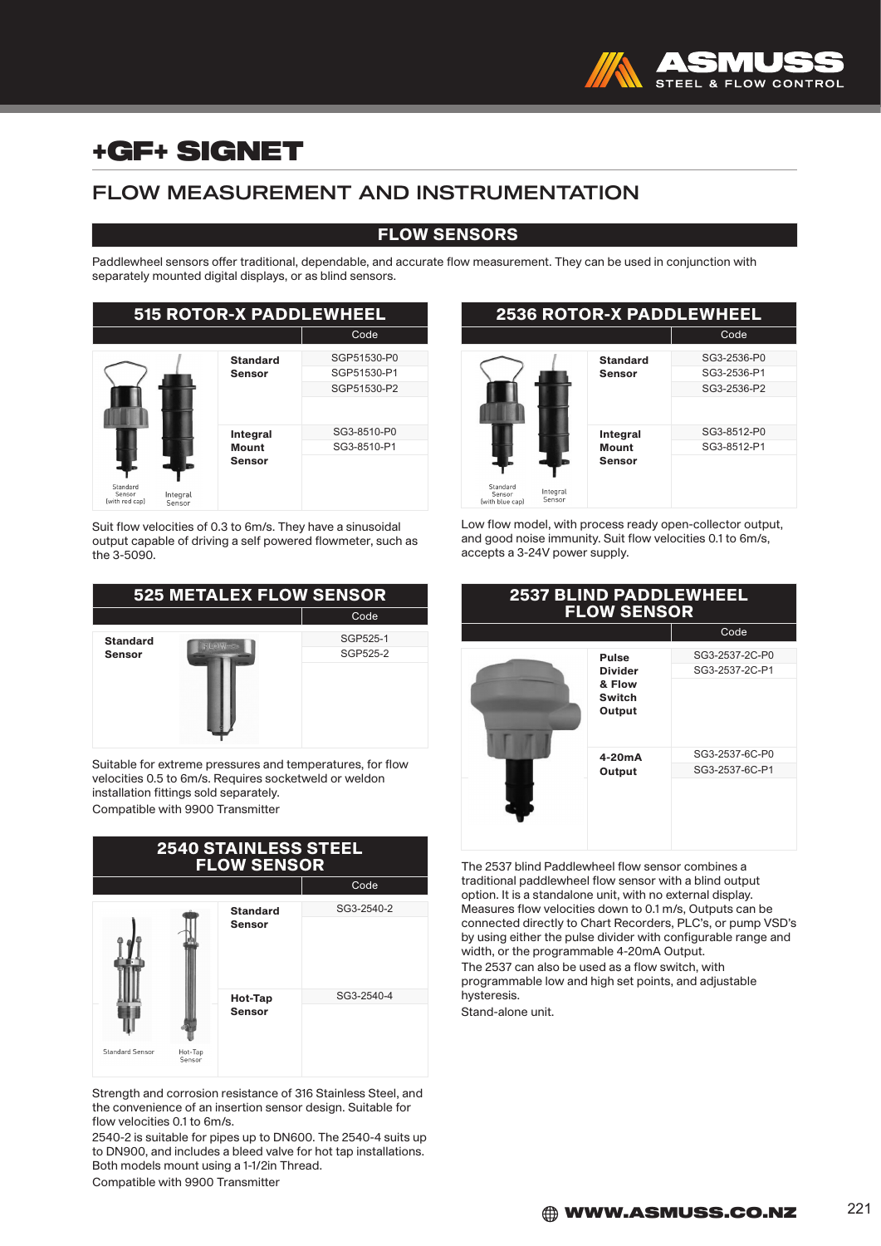

# +GF+ SIGNET

## FLOW MEASUREMENT AND INSTRUMENTATION

### FLOW SENSORS

Paddlewheel sensors offer traditional, dependable, and accurate flow measurement. They can be used in conjunction with separately mounted digital displays, or as blind sensors.

| <b>515 ROTOR-X PADDLEWHEEL</b>                             |                                           |                                           |
|------------------------------------------------------------|-------------------------------------------|-------------------------------------------|
|                                                            |                                           | Code                                      |
| Standard<br>Sensor<br>Integral<br>(with red cap)<br>Sensor | <b>Standard</b><br><b>Sensor</b>          | SGP51530-P0<br>SGP51530-P1<br>SGP51530-P2 |
|                                                            | Integral<br><b>Mount</b><br><b>Sensor</b> | SG3-8510-P0<br>SG3-8510-P1                |

Suit flow velocities of 0.3 to 6m/s. They have a sinusoidal output capable of driving a self powered flowmeter, such as the 3-5090.

| <b>525 METALEX FLOW SENSOR</b>              |          |      |
|---------------------------------------------|----------|------|
|                                             |          | Code |
| <b>Standard</b><br>$FLOM-$<br><b>Sensor</b> | SGP525-1 |      |
|                                             | SGP525-2 |      |
|                                             |          |      |

Suitable for extreme pressures and temperatures, for flow velocities 0.5 to 6m/s. Requires socketweld or weldon installation fittings sold separately. Compatible with 9900 Transmitter



Strength and corrosion resistance of 316 Stainless Steel, and the convenience of an insertion sensor design. Suitable for flow velocities 0.1 to 6m/s.

2540-2 is suitable for pipes up to DN600. The 2540-4 suits up to DN900, and includes a bleed valve for hot tap installations. Both models mount using a 1-1/2in Thread.

Compatible with 9900 Transmitter

#### 2536 ROTOR-X PADDLEWHEEL Code **Standard** Sensor SG3-2536-P0 SG3-2536-P1 SG3-2536-P2 **Integral Mount** Sensor SG3-8512-P0 SG3-8512-P1

Low flow model, with process ready open-collector output, and good noise immunity. Suit flow velocities 0.1 to 6m/s, accepts a 3-24V power supply.

| <b>2537 BLIND PADDLEWHEEL</b><br><b>FLOW SENSOR</b> |                                                                     |                                  |
|-----------------------------------------------------|---------------------------------------------------------------------|----------------------------------|
|                                                     |                                                                     | Code                             |
|                                                     | <b>Pulse</b><br><b>Divider</b><br>& Flow<br><b>Switch</b><br>Output | SG3-2537-2C-P0<br>SG3-2537-2C-P1 |
|                                                     | $4-20mA$<br>Output                                                  | SG3-2537-6C-P0<br>SG3-2537-6C-P1 |

The 2537 blind Paddlewheel flow sensor combines a traditional paddlewheel flow sensor with a blind output option. It is a standalone unit, with no external display. Measures flow velocities down to 0.1 m/s, Outputs can be connected directly to Chart Recorders, PLC's, or pump VSD's by using either the pulse divider with configurable range and width, or the programmable 4-20mA Output.

The 2537 can also be used as a flow switch, with programmable low and high set points, and adjustable hysteresis.

Stand-alone unit.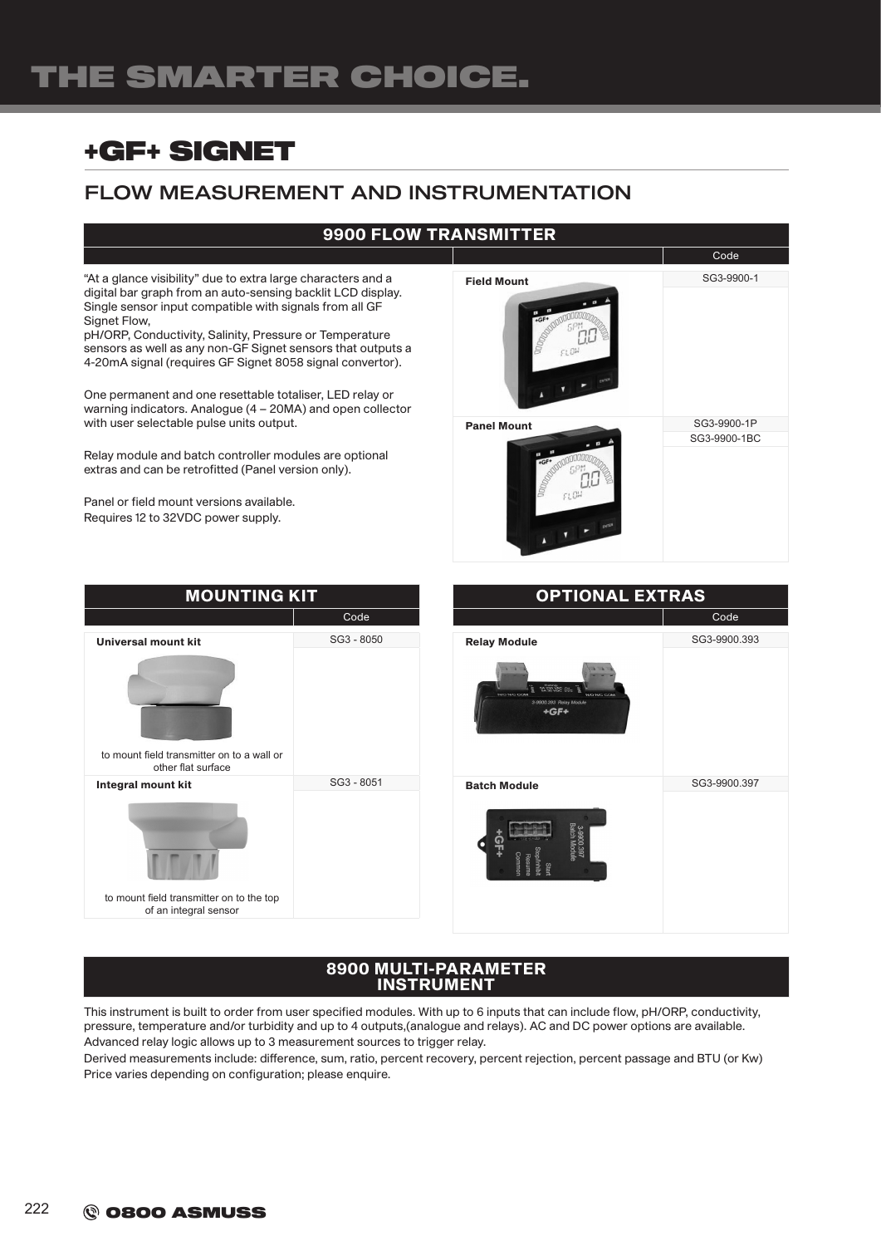# THE SMARTER CHOICE.

# +GF+ SIGNET

## FLOW MEASUREMENT AND INSTRUMENTATION

## 9900 FLOW TRANSMITTER

"At a glance visibility" due to extra large characters and a digital bar graph from an auto-sensing backlit LCD display. Single sensor input compatible with signals from all GF Signet Flow,

pH/ORP, Conductivity, Salinity, Pressure or Temperature sensors as well as any non-GF Signet sensors that outputs a 4-20mA signal (requires GF Signet 8058 signal convertor).

One permanent and one resettable totaliser, LED relay or warning indicators. Analogue (4 – 20MA) and open collector with user selectable pulse units output.

Relay module and batch controller modules are optional extras and can be retrofitted (Panel version only).

Panel or field mount versions available. Requires 12 to 32VDC power supply.







#### 8900 MULTI-PARAMETER INSTRUMENT

This instrument is built to order from user specified modules. With up to 6 inputs that can include flow, pH/ORP, conductivity, pressure, temperature and/or turbidity and up to 4 outputs,(analogue and relays). AC and DC power options are available. Advanced relay logic allows up to 3 measurement sources to trigger relay.

Derived measurements include: difference, sum, ratio, percent recovery, percent rejection, percent passage and BTU (or Kw) Price varies depending on configuration; please enquire.